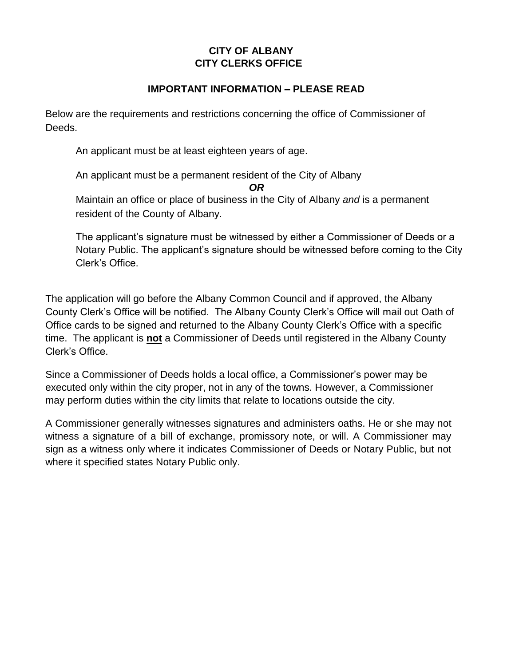## **CITY OF ALBANY CITY CLERKS OFFICE**

## **IMPORTANT INFORMATION – PLEASE READ**

Below are the requirements and restrictions concerning the office of Commissioner of Deeds.

An applicant must be at least eighteen years of age.

An applicant must be a permanent resident of the City of Albany

*OR*

Maintain an office or place of business in the City of Albany *and* is a permanent resident of the County of Albany.

The applicant's signature must be witnessed by either a Commissioner of Deeds or a Notary Public. The applicant's signature should be witnessed before coming to the City Clerk's Office.

The application will go before the Albany Common Council and if approved, the Albany County Clerk's Office will be notified. The Albany County Clerk's Office will mail out Oath of Office cards to be signed and returned to the Albany County Clerk's Office with a specific time. The applicant is **not** a Commissioner of Deeds until registered in the Albany County Clerk's Office.

Since a Commissioner of Deeds holds a local office, a Commissioner's power may be executed only within the city proper, not in any of the towns. However, a Commissioner may perform duties within the city limits that relate to locations outside the city.

A Commissioner generally witnesses signatures and administers oaths. He or she may not witness a signature of a bill of exchange, promissory note, or will. A Commissioner may sign as a witness only where it indicates Commissioner of Deeds or Notary Public, but not where it specified states Notary Public only.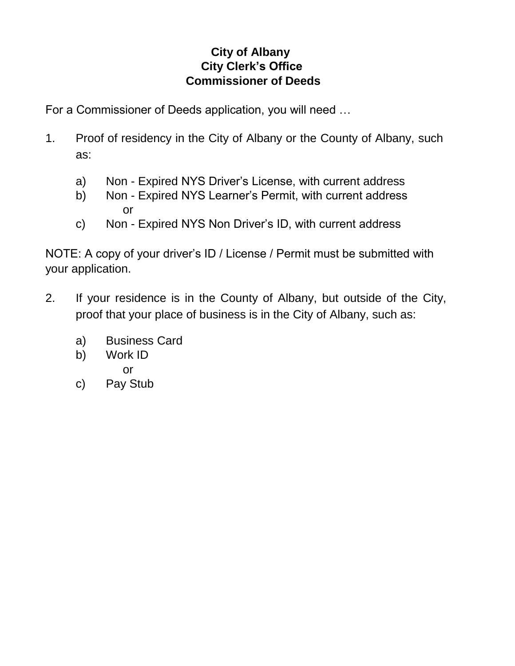## **City of Albany City Clerk's Office Commissioner of Deeds**

For a Commissioner of Deeds application, you will need …

- 1. Proof of residency in the City of Albany or the County of Albany, such as:
	- a) Non Expired NYS Driver's License, with current address
	- b) Non Expired NYS Learner's Permit, with current address or
	- c) Non Expired NYS Non Driver's ID, with current address

NOTE: A copy of your driver's ID / License / Permit must be submitted with your application.

- 2. If your residence is in the County of Albany, but outside of the City, proof that your place of business is in the City of Albany, such as:
	- a) Business Card
	- b) Work ID or
	- c) Pay Stub